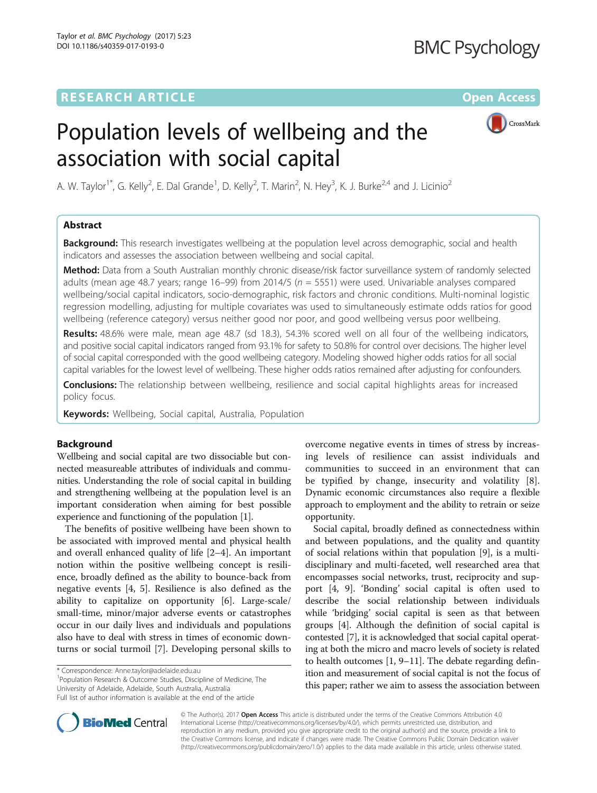# **RESEARCH ARTICLE External Structure Community Community Community Community Community Community Community Community**

# CrossMark

# Population levels of wellbeing and the association with social capital

A. W. Taylor<sup>1\*</sup>, G. Kelly<sup>2</sup>, E. Dal Grande<sup>1</sup>, D. Kelly<sup>2</sup>, T. Marin<sup>2</sup>, N. Hey<sup>3</sup>, K. J. Burke<sup>2,4</sup> and J. Licinio<sup>2</sup>

# Abstract

Background: This research investigates wellbeing at the population level across demographic, social and health indicators and assesses the association between wellbeing and social capital.

Method: Data from a South Australian monthly chronic disease/risk factor surveillance system of randomly selected adults (mean age 48.7 years; range 16–99) from 2014/5 ( $n = 5551$ ) were used. Univariable analyses compared wellbeing/social capital indicators, socio-demographic, risk factors and chronic conditions. Multi-nominal logistic regression modelling, adjusting for multiple covariates was used to simultaneously estimate odds ratios for good wellbeing (reference category) versus neither good nor poor, and good wellbeing versus poor wellbeing.

Results: 48.6% were male, mean age 48.7 (sd 18.3), 54.3% scored well on all four of the wellbeing indicators, and positive social capital indicators ranged from 93.1% for safety to 50.8% for control over decisions. The higher level of social capital corresponded with the good wellbeing category. Modeling showed higher odds ratios for all social capital variables for the lowest level of wellbeing. These higher odds ratios remained after adjusting for confounders.

**Conclusions:** The relationship between wellbeing, resilience and social capital highlights areas for increased policy focus.

Keywords: Wellbeing, Social capital, Australia, Population

# Background

Wellbeing and social capital are two dissociable but connected measureable attributes of individuals and communities. Understanding the role of social capital in building and strengthening wellbeing at the population level is an important consideration when aiming for best possible experience and functioning of the population [[1\]](#page-7-0).

The benefits of positive wellbeing have been shown to be associated with improved mental and physical health and overall enhanced quality of life [\[2](#page-7-0)–[4](#page-7-0)]. An important notion within the positive wellbeing concept is resilience, broadly defined as the ability to bounce-back from negative events [\[4](#page-7-0), [5\]](#page-7-0). Resilience is also defined as the ability to capitalize on opportunity [[6\]](#page-7-0). Large-scale/ small-time, minor/major adverse events or catastrophes occur in our daily lives and individuals and populations also have to deal with stress in times of economic downturns or social turmoil [\[7](#page-7-0)]. Developing personal skills to

<sup>1</sup>Population Research & Outcome Studies, Discipline of Medicine, The University of Adelaide, Adelaide, South Australia, Australia

overcome negative events in times of stress by increasing levels of resilience can assist individuals and communities to succeed in an environment that can be typified by change, insecurity and volatility [\[8](#page-7-0)]. Dynamic economic circumstances also require a flexible approach to employment and the ability to retrain or seize opportunity.

Social capital, broadly defined as connectedness within and between populations, and the quality and quantity of social relations within that population [\[9](#page-7-0)], is a multidisciplinary and multi-faceted, well researched area that encompasses social networks, trust, reciprocity and support [\[4](#page-7-0), [9](#page-7-0)]. 'Bonding' social capital is often used to describe the social relationship between individuals while 'bridging' social capital is seen as that between groups [\[4](#page-7-0)]. Although the definition of social capital is contested [[7\]](#page-7-0), it is acknowledged that social capital operating at both the micro and macro levels of society is related to health outcomes [\[1, 9](#page-7-0)–[11](#page-7-0)]. The debate regarding definition and measurement of social capital is not the focus of this paper; rather we aim to assess the association between



© The Author(s). 2017 **Open Access** This article is distributed under the terms of the Creative Commons Attribution 4.0 International License [\(http://creativecommons.org/licenses/by/4.0/](http://creativecommons.org/licenses/by/4.0/)), which permits unrestricted use, distribution, and reproduction in any medium, provided you give appropriate credit to the original author(s) and the source, provide a link to the Creative Commons license, and indicate if changes were made. The Creative Commons Public Domain Dedication waiver [\(http://creativecommons.org/publicdomain/zero/1.0/](http://creativecommons.org/publicdomain/zero/1.0/)) applies to the data made available in this article, unless otherwise stated.

<sup>\*</sup> Correspondence: [Anne.taylor@adelaide.edu.au](mailto:Anne.taylor@adelaide.edu.au) <sup>1</sup>

Full list of author information is available at the end of the article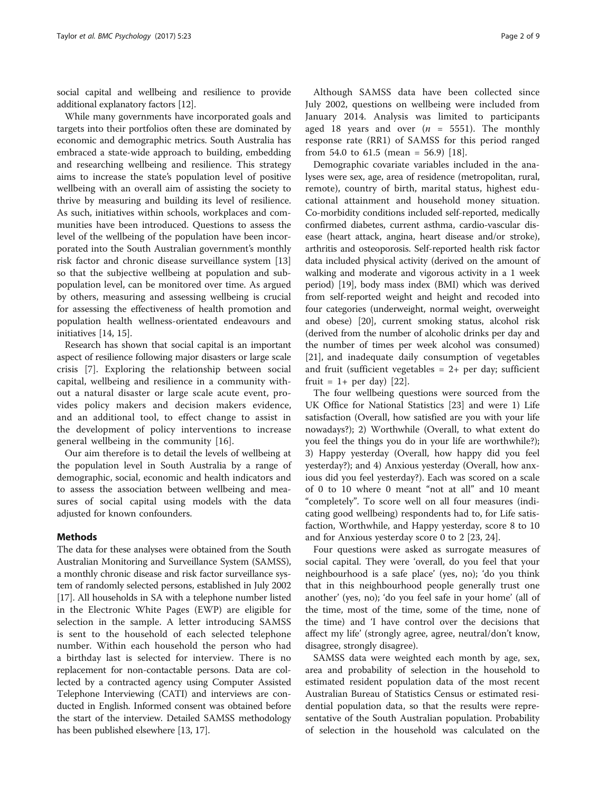social capital and wellbeing and resilience to provide additional explanatory factors [[12](#page-7-0)].

While many governments have incorporated goals and targets into their portfolios often these are dominated by economic and demographic metrics. South Australia has embraced a state-wide approach to building, embedding and researching wellbeing and resilience. This strategy aims to increase the state's population level of positive wellbeing with an overall aim of assisting the society to thrive by measuring and building its level of resilience. As such, initiatives within schools, workplaces and communities have been introduced. Questions to assess the level of the wellbeing of the population have been incorporated into the South Australian government's monthly risk factor and chronic disease surveillance system [[13](#page-7-0)] so that the subjective wellbeing at population and subpopulation level, can be monitored over time. As argued by others, measuring and assessing wellbeing is crucial for assessing the effectiveness of health promotion and population health wellness-orientated endeavours and initiatives [[14, 15\]](#page-7-0).

Research has shown that social capital is an important aspect of resilience following major disasters or large scale crisis [[7\]](#page-7-0). Exploring the relationship between social capital, wellbeing and resilience in a community without a natural disaster or large scale acute event, provides policy makers and decision makers evidence, and an additional tool, to effect change to assist in the development of policy interventions to increase general wellbeing in the community [[16](#page-7-0)].

Our aim therefore is to detail the levels of wellbeing at the population level in South Australia by a range of demographic, social, economic and health indicators and to assess the association between wellbeing and measures of social capital using models with the data adjusted for known confounders.

### Methods

The data for these analyses were obtained from the South Australian Monitoring and Surveillance System (SAMSS), a monthly chronic disease and risk factor surveillance system of randomly selected persons, established in July 2002 [[17](#page-8-0)]. All households in SA with a telephone number listed in the Electronic White Pages (EWP) are eligible for selection in the sample. A letter introducing SAMSS is sent to the household of each selected telephone number. Within each household the person who had a birthday last is selected for interview. There is no replacement for non-contactable persons. Data are collected by a contracted agency using Computer Assisted Telephone Interviewing (CATI) and interviews are conducted in English. Informed consent was obtained before the start of the interview. Detailed SAMSS methodology has been published elsewhere [\[13,](#page-7-0) [17](#page-8-0)].

Although SAMSS data have been collected since July 2002, questions on wellbeing were included from January 2014. Analysis was limited to participants aged 18 years and over  $(n = 5551)$ . The monthly response rate (RR1) of SAMSS for this period ranged from 54.0 to 61.5 (mean = 56.9) [[18\]](#page-8-0).

Demographic covariate variables included in the analyses were sex, age, area of residence (metropolitan, rural, remote), country of birth, marital status, highest educational attainment and household money situation. Co-morbidity conditions included self-reported, medically confirmed diabetes, current asthma, cardio-vascular disease (heart attack, angina, heart disease and/or stroke), arthritis and osteoporosis. Self-reported health risk factor data included physical activity (derived on the amount of walking and moderate and vigorous activity in a 1 week period) [[19](#page-8-0)], body mass index (BMI) which was derived from self-reported weight and height and recoded into four categories (underweight, normal weight, overweight and obese) [\[20](#page-8-0)], current smoking status, alcohol risk (derived from the number of alcoholic drinks per day and the number of times per week alcohol was consumed) [[21](#page-8-0)], and inadequate daily consumption of vegetables and fruit (sufficient vegetables  $= 2+$  per day; sufficient fruit =  $1+$  per day) [\[22](#page-8-0)].

The four wellbeing questions were sourced from the UK Office for National Statistics [[23](#page-8-0)] and were 1) Life satisfaction (Overall, how satisfied are you with your life nowadays?); 2) Worthwhile (Overall, to what extent do you feel the things you do in your life are worthwhile?); 3) Happy yesterday (Overall, how happy did you feel yesterday?); and 4) Anxious yesterday (Overall, how anxious did you feel yesterday?). Each was scored on a scale of 0 to 10 where 0 meant "not at all" and 10 meant "completely". To score well on all four measures (indicating good wellbeing) respondents had to, for Life satisfaction, Worthwhile, and Happy yesterday, score 8 to 10 and for Anxious yesterday score 0 to 2 [\[23](#page-8-0), [24](#page-8-0)].

Four questions were asked as surrogate measures of social capital. They were 'overall, do you feel that your neighbourhood is a safe place' (yes, no); 'do you think that in this neighbourhood people generally trust one another' (yes, no); 'do you feel safe in your home' (all of the time, most of the time, some of the time, none of the time) and 'I have control over the decisions that affect my life' (strongly agree, agree, neutral/don't know, disagree, strongly disagree).

SAMSS data were weighted each month by age, sex, area and probability of selection in the household to estimated resident population data of the most recent Australian Bureau of Statistics Census or estimated residential population data, so that the results were representative of the South Australian population. Probability of selection in the household was calculated on the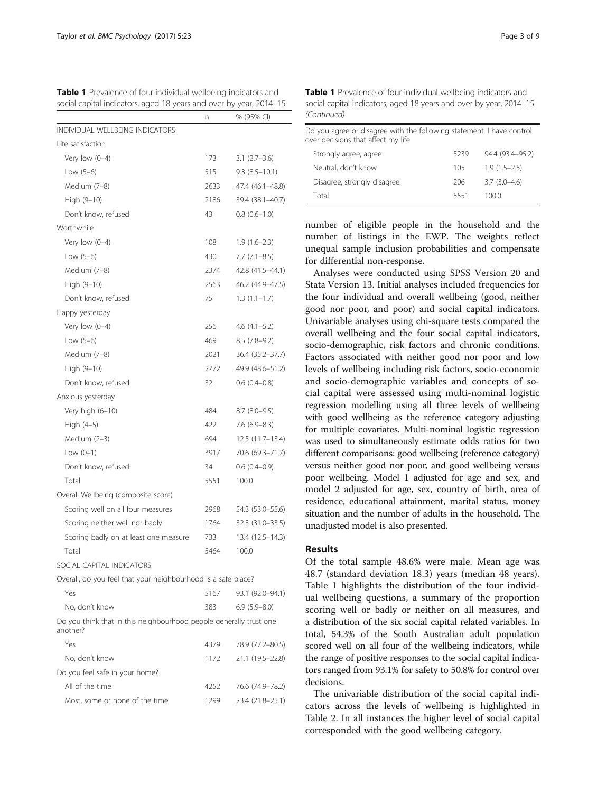Table 1 Prevalence of four individual wellbeing indicators and social capital indicators, aged 18 years and over by year, 2014–15

|                                                                                | n    | % (95% CI)        |
|--------------------------------------------------------------------------------|------|-------------------|
| INDIVIDUAL WELLBEING INDICATORS                                                |      |                   |
| Life satisfaction                                                              |      |                   |
| Very low (0-4)                                                                 | 173  | $3.1(2.7-3.6)$    |
| Low $(5-6)$                                                                    | 515  | $9.3(8.5-10.1)$   |
| Medium (7-8)                                                                   | 2633 | 47.4 (46.1–48.8)  |
| High (9–10)                                                                    | 2186 | 39.4 (38.1–40.7)  |
| Don't know, refused                                                            | 43   | $0.8(0.6-1.0)$    |
| Worthwhile                                                                     |      |                   |
| Very low (0-4)                                                                 | 108  | $1.9(1.6-2.3)$    |
| Low $(5-6)$                                                                    | 430  | $7.7(7.1-8.5)$    |
| Medium (7-8)                                                                   | 2374 | 42.8 (41.5–44.1)  |
| High (9–10)                                                                    | 2563 | 46.2 (44.9–47.5)  |
| Don't know, refused                                                            | 75   | $1.3(1.1-1.7)$    |
| Happy yesterday                                                                |      |                   |
| Very low (0-4)                                                                 | 256  | $4.6(4.1-5.2)$    |
| Low $(5-6)$                                                                    | 469  | $8.5(7.8-9.2)$    |
| Medium (7-8)                                                                   | 2021 | 36.4 (35.2–37.7)  |
| High (9–10)                                                                    | 2772 | 49.9 (48.6–51.2)  |
| Don't know, refused                                                            | 32   | $0.6(0.4-0.8)$    |
| Anxious yesterday                                                              |      |                   |
| Very high (6–10)                                                               | 484  | $8.7(8.0-9.5)$    |
| High $(4-5)$                                                                   | 422  | $7.6(6.9 - 8.3)$  |
| Medium (2-3)                                                                   | 694  | $12.5(11.7-13.4)$ |
| Low $(0-1)$                                                                    | 3917 | 70.6 (69.3–71.7)  |
| Don't know, refused                                                            | 34   | $0.6(0.4-0.9)$    |
| Total                                                                          | 5551 | 100.0             |
| Overall Wellbeing (composite score)                                            |      |                   |
| Scoring well on all four measures                                              | 2968 | 54.3 (53.0–55.6)  |
| Scoring neither well nor badly                                                 | 1764 | 32.3 (31.0–33.5)  |
| Scoring badly on at least one measure                                          | 733  | 13.4 (12.5–14.3)  |
| Total                                                                          | 5464 | 100.0             |
| SOCIAL CAPITAL INDICATORS                                                      |      |                   |
| Overall, do you feel that your neighbourhood is a safe place?                  |      |                   |
| Yes                                                                            | 5167 | 93.1 (92.0-94.1)  |
| No, don't know                                                                 | 383  | $6.9(5.9 - 8.0)$  |
| Do you think that in this neighbourhood people generally trust one<br>another? |      |                   |
| Yes                                                                            | 4379 | 78.9 (77.2–80.5)  |
| No, don't know                                                                 | 1172 | 21.1 (19.5–22.8)  |
| Do you feel safe in your home?                                                 |      |                   |
| All of the time                                                                | 4252 | 76.6 (74.9–78.2)  |
| Most, some or none of the time                                                 | 1299 | 23.4 (21.8–25.1)  |

Table 1 Prevalence of four individual wellbeing indicators and social capital indicators, aged 18 years and over by year, 2014–15 (Continued)

| Do you agree or disagree with the following statement. I have control<br>over decisions that affect my life |      |                  |  |  |  |  |  |
|-------------------------------------------------------------------------------------------------------------|------|------------------|--|--|--|--|--|
| Strongly agree, agree                                                                                       | 5239 | 94.4 (93.4-95.2) |  |  |  |  |  |
| Neutral, don't know                                                                                         | 105  | $1.9(1.5-2.5)$   |  |  |  |  |  |
| Disagree, strongly disagree                                                                                 | 206  | $3.7(3.0-4.6)$   |  |  |  |  |  |
| Total                                                                                                       | 5551 | 100.0            |  |  |  |  |  |

number of eligible people in the household and the number of listings in the EWP. The weights reflect unequal sample inclusion probabilities and compensate for differential non-response.

Analyses were conducted using SPSS Version 20 and Stata Version 13. Initial analyses included frequencies for the four individual and overall wellbeing (good, neither good nor poor, and poor) and social capital indicators. Univariable analyses using chi-square tests compared the overall wellbeing and the four social capital indicators, socio-demographic, risk factors and chronic conditions. Factors associated with neither good nor poor and low levels of wellbeing including risk factors, socio-economic and socio-demographic variables and concepts of social capital were assessed using multi-nominal logistic regression modelling using all three levels of wellbeing with good wellbeing as the reference category adjusting for multiple covariates. Multi-nominal logistic regression was used to simultaneously estimate odds ratios for two different comparisons: good wellbeing (reference category) versus neither good nor poor, and good wellbeing versus poor wellbeing. Model 1 adjusted for age and sex, and model 2 adjusted for age, sex, country of birth, area of residence, educational attainment, marital status, money situation and the number of adults in the household. The unadjusted model is also presented.

#### Results

Of the total sample 48.6% were male. Mean age was 48.7 (standard deviation 18.3) years (median 48 years). Table 1 highlights the distribution of the four individual wellbeing questions, a summary of the proportion scoring well or badly or neither on all measures, and a distribution of the six social capital related variables. In total, 54.3% of the South Australian adult population scored well on all four of the wellbeing indicators, while the range of positive responses to the social capital indicators ranged from 93.1% for safety to 50.8% for control over decisions.

The univariable distribution of the social capital indicators across the levels of wellbeing is highlighted in Table [2](#page-3-0). In all instances the higher level of social capital corresponded with the good wellbeing category.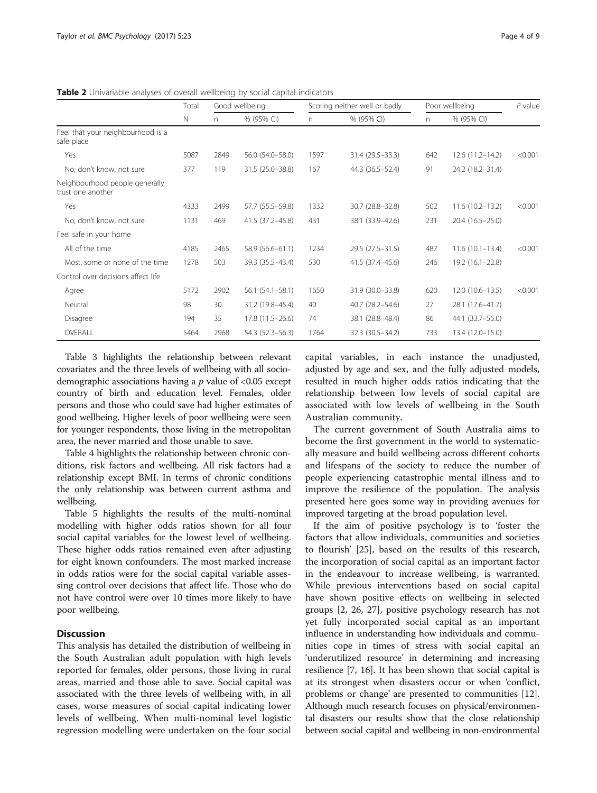<span id="page-3-0"></span>Table 2 Univariable analyses of overall wellbeing by social capital indicators

|                                                     | Total |                 | Good wellbeing      |      | Scoring neither well or badly | Poor wellbeing | $P$ value           |         |
|-----------------------------------------------------|-------|-----------------|---------------------|------|-------------------------------|----------------|---------------------|---------|
|                                                     | N     | % (95% CI)<br>n |                     | n.   | % (95% CI)                    | n.             | % (95% CI)          |         |
| Feel that your neighbourhood is a<br>safe place     |       |                 |                     |      |                               |                |                     |         |
| Yes                                                 | 5087  | 2849            | 56.0 (54.0-58.0)    | 1597 | 31.4 (29.5 - 33.3)            | 642            | $12.6(11.2 - 14.2)$ | < 0.001 |
| No, don't know, not sure                            | 377   | 119             | 31.5 (25.0-38.8)    | 167  | 44.3 (36.5-52.4)              | 91             | 24.2 (18.2-31.4)    |         |
| Neighbourhood people generally<br>trust one another |       |                 |                     |      |                               |                |                     |         |
| Yes                                                 | 4333  | 2499            | 57.7 (55.5–59.8)    | 1332 | 30.7 (28.8-32.8)              | 502            | $11.6(10.2 - 13.2)$ | < 0.001 |
| No, don't know, not sure                            | 1131  | 469             | 41.5 (37.2-45.8)    | 431  | 38.1 (33.9-42.6)              | 231            | 20.4 (16.5 - 25.0)  |         |
| Feel safe in your home                              |       |                 |                     |      |                               |                |                     |         |
| All of the time                                     | 4185  | 2465            | 58.9 (56.6-61.1)    | 1234 | 29.5 (27.5 - 31.5)            | 487            | $11.6(10.1-13.4)$   | < 0.001 |
| Most, some or none of the time                      | 1278  | 503             | 39.3 (35.5-43.4)    | 530  | 41.5 (37.4-45.6)              | 246            | 19.2 (16.1-22.8)    |         |
| Control over decisions affect life                  |       |                 |                     |      |                               |                |                     |         |
| Agree                                               | 5172  | 2902            | $56.1(54.1 - 58.1)$ | 1650 | 31.9 (30.0-33.8)              | 620            | $12.0(10.6 - 13.5)$ | < 0.001 |
| Neutral                                             | 98    | 30              | 31.2 (19.8-45.4)    | 40   | 40.7 (28.2-54.6)              | 27             | 28.1 (17.6-41.7)    |         |
| Disagree                                            | 194   | 35              | 17.8 (11.5-26.6)    | 74   | 38.1 (28.8-48.4)              | 86             | 44.1 (33.7-55.0)    |         |
| OVERALL                                             | 5464  | 2968            | 54.3 (52.3 - 56.3)  | 1764 | 32.3 (30.5-34.2)              | 733            | 13.4 (12.0-15.0)    |         |

Table [3](#page-4-0) highlights the relationship between relevant covariates and the three levels of wellbeing with all sociodemographic associations having a  $p$  value of <0.05 except country of birth and education level. Females, older persons and those who could save had higher estimates of good wellbeing. Higher levels of poor wellbeing were seen for younger respondents, those living in the metropolitan area, the never married and those unable to save.

Table [4](#page-5-0) highlights the relationship between chronic conditions, risk factors and wellbeing. All risk factors had a relationship except BMI. In terms of chronic conditions the only relationship was between current asthma and wellbeing.

Table [5](#page-6-0) highlights the results of the multi-nominal modelling with higher odds ratios shown for all four social capital variables for the lowest level of wellbeing. These higher odds ratios remained even after adjusting for eight known confounders. The most marked increase in odds ratios were for the social capital variable assessing control over decisions that affect life. Those who do not have control were over 10 times more likely to have poor wellbeing.

## **Discussion**

This analysis has detailed the distribution of wellbeing in the South Australian adult population with high levels reported for females, older persons, those living in rural areas, married and those able to save. Social capital was associated with the three levels of wellbeing with, in all cases, worse measures of social capital indicating lower levels of wellbeing. When multi-nominal level logistic regression modelling were undertaken on the four social capital variables, in each instance the unadjusted, adjusted by age and sex, and the fully adjusted models, resulted in much higher odds ratios indicating that the relationship between low levels of social capital are associated with low levels of wellbeing in the South Australian community.

The current government of South Australia aims to become the first government in the world to systematically measure and build wellbeing across different cohorts and lifespans of the society to reduce the number of people experiencing catastrophic mental illness and to improve the resilience of the population. The analysis presented here goes some way in providing avenues for improved targeting at the broad population level.

If the aim of positive psychology is to 'foster the factors that allow individuals, communities and societies to flourish' [\[25](#page-8-0)], based on the results of this research, the incorporation of social capital as an important factor in the endeavour to increase wellbeing, is warranted. While previous interventions based on social capital have shown positive effects on wellbeing in selected groups [[2,](#page-7-0) [26](#page-8-0), [27](#page-8-0)], positive psychology research has not yet fully incorporated social capital as an important influence in understanding how individuals and communities cope in times of stress with social capital an 'underutilized resource' in determining and increasing resilience [\[7](#page-7-0), [16](#page-7-0)]. It has been shown that social capital is at its strongest when disasters occur or when 'conflict, problems or change' are presented to communities [\[12](#page-7-0)]. Although much research focuses on physical/environmental disasters our results show that the close relationship between social capital and wellbeing in non-environmental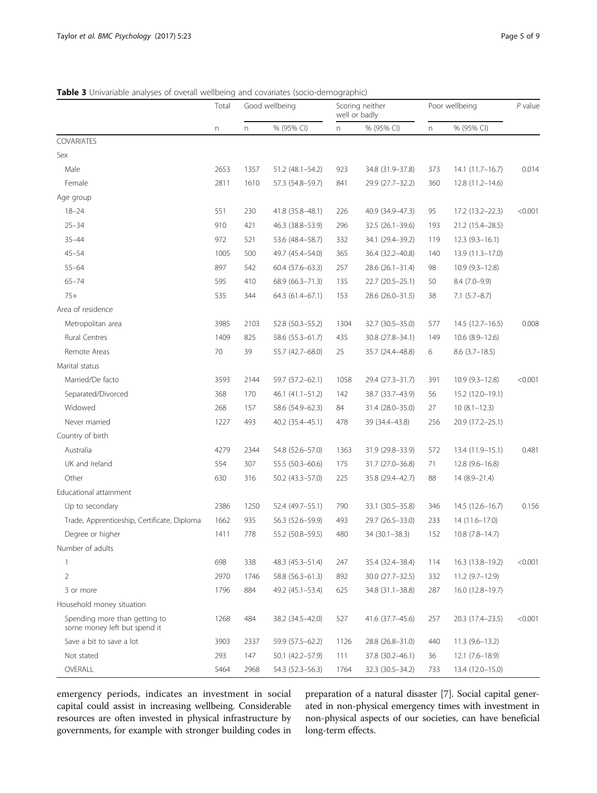<span id="page-4-0"></span>Table 3 Univariable analyses of overall wellbeing and covariates (socio-demographic)

|                                                               | Total | Good wellbeing |                    | Scoring neither<br>well or badly |                    | Poor wellbeing |                     | $P$ value |
|---------------------------------------------------------------|-------|----------------|--------------------|----------------------------------|--------------------|----------------|---------------------|-----------|
|                                                               | n     | n              | % (95% CI)         | n                                | % (95% CI)         | n              | % (95% CI)          |           |
| COVARIATES                                                    |       |                |                    |                                  |                    |                |                     |           |
| Sex                                                           |       |                |                    |                                  |                    |                |                     |           |
| Male                                                          | 2653  | 1357           | 51.2 (48.1-54.2)   | 923                              | 34.8 (31.9-37.8)   | 373            | $14.1(11.7-16.7)$   | 0.014     |
| Female                                                        | 2811  | 1610           | 57.3 (54.8-59.7)   | 841                              | 29.9 (27.7-32.2)   | 360            | 12.8 (11.2-14.6)    |           |
| Age group                                                     |       |                |                    |                                  |                    |                |                     |           |
| $18 - 24$                                                     | 551   | 230            | 41.8 (35.8-48.1)   | 226                              | 40.9 (34.9-47.3)   | 95             | 17.2 (13.2-22.3)    | < 0.001   |
| $25 - 34$                                                     | 910   | 421            | 46.3 (38.8-53.9)   | 296                              | 32.5 (26.1-39.6)   | 193            | 21.2 (15.4-28.5)    |           |
| $35 - 44$                                                     | 972   | 521            | 53.6 (48.4-58.7)   | 332                              | 34.1 (29.4-39.2)   | 119            | $12.3(9.3 - 16.1)$  |           |
| $45 - 54$                                                     | 1005  | 500            | 49.7 (45.4-54.0)   | 365                              | 36.4 (32.2-40.8)   | 140            | 13.9 (11.3-17.0)    |           |
| $55 - 64$                                                     | 897   | 542            | 60.4 (57.6-63.3)   | 257                              | 28.6 (26.1-31.4)   | 98             | 10.9 (9.3-12.8)     |           |
| $65 - 74$                                                     | 595   | 410            | 68.9 (66.3-71.3)   | 135                              | 22.7 (20.5-25.1)   | 50             | $8.4(7.0-9.9)$      |           |
| $75+$                                                         | 535   | 344            | 64.3 (61.4-67.1)   | 153                              | 28.6 (26.0-31.5)   | 38             | $7.1 (5.7 - 8.7)$   |           |
| Area of residence                                             |       |                |                    |                                  |                    |                |                     |           |
| Metropolitan area                                             | 3985  | 2103           | 52.8 (50.3-55.2)   | 1304                             | 32.7 (30.5-35.0)   | 577            | $14.5(12.7-16.5)$   | 0.008     |
| <b>Rural Centres</b>                                          | 1409  | 825            | 58.6 (55.3-61.7)   | 435                              | 30.8 (27.8-34.1)   | 149            | 10.6 (8.9-12.6)     |           |
| Remote Areas                                                  | 70    | 39             | 55.7 (42.7-68.0)   | 25                               | 35.7 (24.4-48.8)   | 6              | $8.6(3.7-18.5)$     |           |
| Marital status                                                |       |                |                    |                                  |                    |                |                     |           |
| Married/De facto                                              | 3593  | 2144           | 59.7 (57.2-62.1)   | 1058                             | 29.4 (27.3-31.7)   | 391            | $10.9(9.3-12.8)$    | < 0.001   |
| Separated/Divorced                                            | 368   | 170            | 46.1 (41.1-51.2)   | 142                              | 38.7 (33.7-43.9)   | 56             | 15.2 (12.0-19.1)    |           |
| Widowed                                                       | 268   | 157            | 58.6 (54.9-62.3)   | 84                               | 31.4 (28.0-35.0)   | 27             | $10(8.1 - 12.3)$    |           |
| Never married                                                 | 1227  | 493            | 40.2 (35.4-45.1)   | 478                              | 39 (34.4-43.8)     | 256            | 20.9 (17.2-25.1)    |           |
| Country of birth                                              |       |                |                    |                                  |                    |                |                     |           |
| Australia                                                     | 4279  | 2344           | 54.8 (52.6-57.0)   | 1363                             | 31.9 (29.8-33.9)   | 572            | 13.4 (11.9-15.1)    | 0.481     |
| UK and Ireland                                                | 554   | 307            | 55.5 (50.3-60.6)   | 175                              | 31.7 (27.0-36.8)   | 71             | 12.8 (9.6-16.8)     |           |
| Other                                                         | 630   | 316            | 50.2 (43.3-57.0)   | 225                              | 35.8 (29.4-42.7)   | 88             | 14 (8.9-21.4)       |           |
| Educational attainment                                        |       |                |                    |                                  |                    |                |                     |           |
| Up to secondary                                               | 2386  | 1250           | 52.4 (49.7-55.1)   | 790                              | 33.1 (30.5-35.8)   | 346            | $14.5(12.6 - 16.7)$ | 0.156     |
| Trade, Apprenticeship, Certificate, Diploma                   | 1662  | 935            | 56.3 (52.6-59.9)   | 493                              | 29.7 (26.5-33.0)   | 233            | $14(11.6 - 17.0)$   |           |
| Degree or higher                                              | 1411  | 778            | 55.2 (50.8-59.5)   | 480                              | $34(30.1 - 38.3)$  | 152            | $10.8(7.8 - 14.7)$  |           |
| Number of adults                                              |       |                |                    |                                  |                    |                |                     |           |
| 1                                                             | 698   | 338            | 48.3 (45.3-51.4)   | 247                              | 35.4 (32.4-38.4)   | 114            | 16.3 (13.8-19.2)    | < 0.001   |
| $\overline{2}$                                                | 2970  | 1746           | 58.8 (56.3-61.3)   | 892                              | 30.0 (27.7-32.5)   | 332            | 11.2 (9.7-12.9)     |           |
| 3 or more                                                     | 1796  | 884            | 49.2 (45.1-53.4)   | 625                              | 34.8 (31.1 - 38.8) | 287            | 16.0 (12.8-19.7)    |           |
| Household money situation                                     |       |                |                    |                                  |                    |                |                     |           |
| Spending more than getting to<br>some money left but spend it | 1268  | 484            | 38.2 (34.5-42.0)   | 527                              | 41.6 (37.7-45.6)   | 257            | 20.3 (17.4-23.5)    | < 0.001   |
| Save a bit to save a lot                                      | 3903  | 2337           | 59.9 (57.5 - 62.2) | 1126                             | 28.8 (26.8-31.0)   | 440            | $11.3(9.6 - 13.2)$  |           |
| Not stated                                                    | 293   | 147            | 50.1 (42.2-57.9)   | 111                              | 37.8 (30.2-46.1)   | 36             | $12.1(7.6-18.9)$    |           |
| OVERALL                                                       | 5464  | 2968           | 54.3 (52.3-56.3)   | 1764                             | 32.3 (30.5-34.2)   | 733            | 13.4 (12.0-15.0)    |           |

emergency periods, indicates an investment in social capital could assist in increasing wellbeing. Considerable resources are often invested in physical infrastructure by governments, for example with stronger building codes in

preparation of a natural disaster [[7\]](#page-7-0). Social capital generated in non-physical emergency times with investment in non-physical aspects of our societies, can have beneficial long-term effects.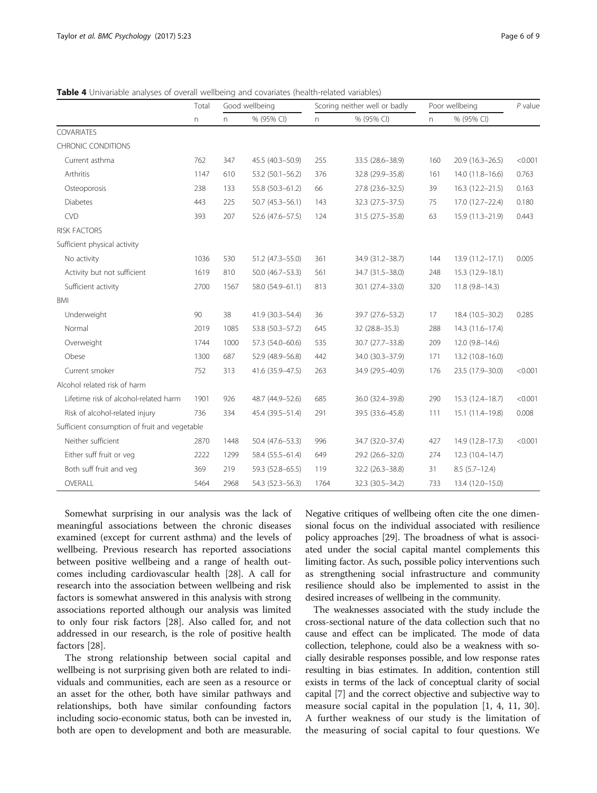<span id="page-5-0"></span>**Table 4** Univariable analyses of overall wellbeing and covariates (health-related variables)

|                                               | Total | Good wellbeing |                  | Scoring neither well or badly |                    | Poor wellbeing |                    | $P$ value |
|-----------------------------------------------|-------|----------------|------------------|-------------------------------|--------------------|----------------|--------------------|-----------|
|                                               | n     | n              | % (95% CI)       | n                             | % (95% CI)         | n              | % (95% CI)         |           |
| <b>COVARIATES</b>                             |       |                |                  |                               |                    |                |                    |           |
| CHRONIC CONDITIONS                            |       |                |                  |                               |                    |                |                    |           |
| Current asthma                                | 762   | 347            | 45.5 (40.3-50.9) | 255                           | 33.5 (28.6-38.9)   | 160            | 20.9 (16.3-26.5)   | < 0.001   |
| Arthritis                                     | 1147  | 610            | 53.2 (50.1-56.2) | 376                           | 32.8 (29.9-35.8)   | 161            | 14.0 (11.8-16.6)   | 0.763     |
| Osteoporosis                                  | 238   | 133            | 55.8 (50.3-61.2) | 66                            | 27.8 (23.6-32.5)   | 39             | 16.3 (12.2-21.5)   | 0.163     |
| <b>Diabetes</b>                               | 443   | 225            | 50.7 (45.3-56.1) | 143                           | 32.3 (27.5 - 37.5) | 75             | 17.0 (12.7-22.4)   | 0.180     |
| <b>CVD</b>                                    | 393   | 207            | 52.6 (47.6-57.5) | 124                           | 31.5 (27.5-35.8)   | 63             | 15.9 (11.3-21.9)   | 0.443     |
| <b>RISK FACTORS</b>                           |       |                |                  |                               |                    |                |                    |           |
| Sufficient physical activity                  |       |                |                  |                               |                    |                |                    |           |
| No activity                                   | 1036  | 530            | 51.2 (47.3-55.0) | 361                           | 34.9 (31.2-38.7)   | 144            | 13.9 (11.2-17.1)   | 0.005     |
| Activity but not sufficient                   | 1619  | 810            | 50.0 (46.7-53.3) | 561                           | 34.7 (31.5-38.0)   | 248            | 15.3 (12.9-18.1)   |           |
| Sufficient activity                           | 2700  | 1567           | 58.0 (54.9-61.1) | 813                           | 30.1 (27.4-33.0)   | 320            | $11.8(9.8 - 14.3)$ |           |
| BMI                                           |       |                |                  |                               |                    |                |                    |           |
| Underweight                                   | 90    | 38             | 41.9 (30.3-54.4) | 36                            | 39.7 (27.6-53.2)   | 17             | 18.4 (10.5-30.2)   | 0.285     |
| Normal                                        | 2019  | 1085           | 53.8 (50.3-57.2) | 645                           | 32 (28.8-35.3)     | 288            | 14.3 (11.6-17.4)   |           |
| Overweight                                    | 1744  | 1000           | 57.3 (54.0-60.6) | 535                           | 30.7 (27.7-33.8)   | 209            | $12.0(9.8-14.6)$   |           |
| Obese                                         | 1300  | 687            | 52.9 (48.9-56.8) | 442                           | 34.0 (30.3-37.9)   | 171            | 13.2 (10.8-16.0)   |           |
| Current smoker                                | 752   | 313            | 41.6 (35.9-47.5) | 263                           | 34.9 (29.5-40.9)   | 176            | 23.5 (17.9-30.0)   | < 0.001   |
| Alcohol related risk of harm                  |       |                |                  |                               |                    |                |                    |           |
| Lifetime risk of alcohol-related harm         | 1901  | 926            | 48.7 (44.9-52.6) | 685                           | 36.0 (32.4-39.8)   | 290            | 15.3 (12.4-18.7)   | < 0.001   |
| Risk of alcohol-related injury                | 736   | 334            | 45.4 (39.5-51.4) | 291                           | 39.5 (33.6-45.8)   | 111            | 15.1 (11.4-19.8)   | 0.008     |
| Sufficient consumption of fruit and vegetable |       |                |                  |                               |                    |                |                    |           |
| Neither sufficient                            | 2870  | 1448           | 50.4 (47.6-53.3) | 996                           | 34.7 (32.0-37.4)   | 427            | 14.9 (12.8-17.3)   | < 0.001   |
| Either suff fruit or veg                      | 2222  | 1299           | 58.4 (55.5-61.4) | 649                           | 29.2 (26.6-32.0)   | 274            | 12.3 (10.4-14.7)   |           |
| Both suff fruit and veg                       | 369   | 219            | 59.3 (52.8-65.5) | 119                           | 32.2 (26.3-38.8)   | 31             | $8.5(5.7-12.4)$    |           |
| OVERALL                                       | 5464  | 2968           | 54.3 (52.3-56.3) | 1764                          | 32.3 (30.5-34.2)   | 733            | 13.4 (12.0-15.0)   |           |

Somewhat surprising in our analysis was the lack of meaningful associations between the chronic diseases examined (except for current asthma) and the levels of wellbeing. Previous research has reported associations between positive wellbeing and a range of health outcomes including cardiovascular health [[28\]](#page-8-0). A call for research into the association between wellbeing and risk factors is somewhat answered in this analysis with strong associations reported although our analysis was limited to only four risk factors [\[28](#page-8-0)]. Also called for, and not addressed in our research, is the role of positive health factors [\[28\]](#page-8-0).

The strong relationship between social capital and wellbeing is not surprising given both are related to individuals and communities, each are seen as a resource or an asset for the other, both have similar pathways and relationships, both have similar confounding factors including socio-economic status, both can be invested in, both are open to development and both are measurable. Negative critiques of wellbeing often cite the one dimensional focus on the individual associated with resilience policy approaches [\[29\]](#page-8-0). The broadness of what is associated under the social capital mantel complements this limiting factor. As such, possible policy interventions such as strengthening social infrastructure and community resilience should also be implemented to assist in the desired increases of wellbeing in the community.

The weaknesses associated with the study include the cross-sectional nature of the data collection such that no cause and effect can be implicated. The mode of data collection, telephone, could also be a weakness with socially desirable responses possible, and low response rates resulting in bias estimates. In addition, contention still exists in terms of the lack of conceptual clarity of social capital [\[7\]](#page-7-0) and the correct objective and subjective way to measure social capital in the population [\[1](#page-7-0), [4, 11,](#page-7-0) [30](#page-8-0)]. A further weakness of our study is the limitation of the measuring of social capital to four questions. We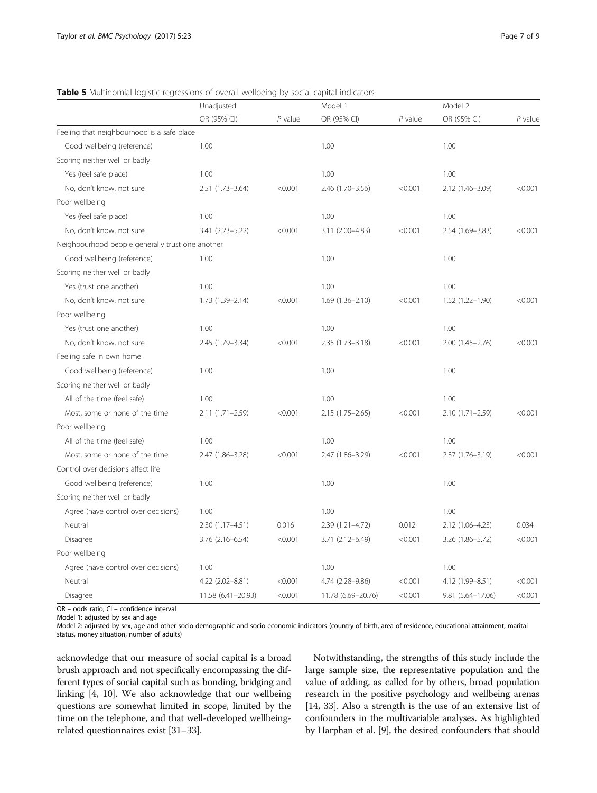|                                                  | Unadjusted          |           | Model 1             |           | Model 2             |           |
|--------------------------------------------------|---------------------|-----------|---------------------|-----------|---------------------|-----------|
|                                                  | OR (95% CI)         | $P$ value | OR (95% CI)         | $P$ value | OR (95% CI)         | $P$ value |
| Feeling that neighbourhood is a safe place       |                     |           |                     |           |                     |           |
| Good wellbeing (reference)                       | 1.00                |           | 1.00                |           | 1.00                |           |
| Scoring neither well or badly                    |                     |           |                     |           |                     |           |
| Yes (feel safe place)                            | 1.00                |           | 1.00                |           | 1.00                |           |
| No, don't know, not sure                         | $2.51(1.73 - 3.64)$ | < 0.001   | 2.46 (1.70-3.56)    | < 0.001   | 2.12 (1.46-3.09)    | < 0.001   |
| Poor wellbeing                                   |                     |           |                     |           |                     |           |
| Yes (feel safe place)                            | 1.00                |           | 1.00                |           | 1.00                |           |
| No, don't know, not sure                         | $3.41(2.23 - 5.22)$ | < 0.001   | 3.11 (2.00-4.83)    | < 0.001   | 2.54 (1.69-3.83)    | < 0.001   |
| Neighbourhood people generally trust one another |                     |           |                     |           |                     |           |
| Good wellbeing (reference)                       | 1.00                |           | 1.00                |           | 1.00                |           |
| Scoring neither well or badly                    |                     |           |                     |           |                     |           |
| Yes (trust one another)                          | 1.00                |           | 1.00                |           | 1.00                |           |
| No, don't know, not sure                         | 1.73 (1.39-2.14)    | < 0.001   | $1.69(1.36 - 2.10)$ | < 0.001   | 1.52 (1.22-1.90)    | < 0.001   |
| Poor wellbeing                                   |                     |           |                     |           |                     |           |
| Yes (trust one another)                          | 1.00                |           | 1.00                |           | 1.00                |           |
| No, don't know, not sure                         | 2.45 (1.79-3.34)    | < 0.001   | 2.35 (1.73-3.18)    | < 0.001   | $2.00(1.45 - 2.76)$ | < 0.001   |
| Feeling safe in own home                         |                     |           |                     |           |                     |           |
| Good wellbeing (reference)                       | 1.00                |           | 1.00                |           | 1.00                |           |
| Scoring neither well or badly                    |                     |           |                     |           |                     |           |
| All of the time (feel safe)                      | 1.00                |           | 1.00                |           | 1.00                |           |
| Most, some or none of the time                   | 2.11 (1.71-2.59)    | < 0.001   | $2.15(1.75 - 2.65)$ | < 0.001   | 2.10 (1.71-2.59)    | < 0.001   |
| Poor wellbeing                                   |                     |           |                     |           |                     |           |
| All of the time (feel safe)                      | 1.00                |           | 1.00                |           | 1.00                |           |
| Most, some or none of the time                   | 2.47 (1.86-3.28)    | < 0.001   | 2.47 (1.86-3.29)    | < 0.001   | 2.37 (1.76-3.19)    | < 0.001   |
| Control over decisions affect life               |                     |           |                     |           |                     |           |
| Good wellbeing (reference)                       | 1.00                |           | 1.00                |           | 1.00                |           |
| Scoring neither well or badly                    |                     |           |                     |           |                     |           |
| Agree (have control over decisions)              | 1.00                |           | 1.00                |           | 1.00                |           |
| Neutral                                          | 2.30 (1.17-4.51)    | 0.016     | 2.39 (1.21-4.72)    | 0.012     | 2.12 (1.06-4.23)    | 0.034     |
| Disagree                                         | 3.76 (2.16-6.54)    | < 0.001   | 3.71 (2.12-6.49)    | < 0.001   | 3.26 (1.86-5.72)    | < 0.001   |
| Poor wellbeing                                   |                     |           |                     |           |                     |           |
| Agree (have control over decisions)              | 1.00                |           | 1.00                |           | 1.00                |           |
| Neutral                                          | 4.22 (2.02-8.81)    | < 0.001   | 4.74 (2.28-9.86)    | < 0.001   | 4.12 (1.99-8.51)    | < 0.001   |
| Disagree                                         | 11.58 (6.41-20.93)  | < 0.001   | 11.78 (6.69-20.76)  | < 0.001   | 9.81 (5.64-17.06)   | < 0.001   |

<span id="page-6-0"></span>**Table 5** Multinomial logistic regressions of overall wellbeing by social capital indicators

OR – odds ratio; CI – confidence interval

Model 1: adjusted by sex and age

Model 2: adjusted by sex, age and other socio-demographic and socio-economic indicators (country of birth, area of residence, educational attainment, marital status, money situation, number of adults)

acknowledge that our measure of social capital is a broad brush approach and not specifically encompassing the different types of social capital such as bonding, bridging and linking [\[4](#page-7-0), [10](#page-7-0)]. We also acknowledge that our wellbeing questions are somewhat limited in scope, limited by the time on the telephone, and that well-developed wellbeingrelated questionnaires exist [\[31](#page-8-0)–[33](#page-8-0)].

Notwithstanding, the strengths of this study include the large sample size, the representative population and the value of adding, as called for by others, broad population research in the positive psychology and wellbeing arenas [[14](#page-7-0), [33\]](#page-8-0). Also a strength is the use of an extensive list of confounders in the multivariable analyses. As highlighted by Harphan et al. [\[9](#page-7-0)], the desired confounders that should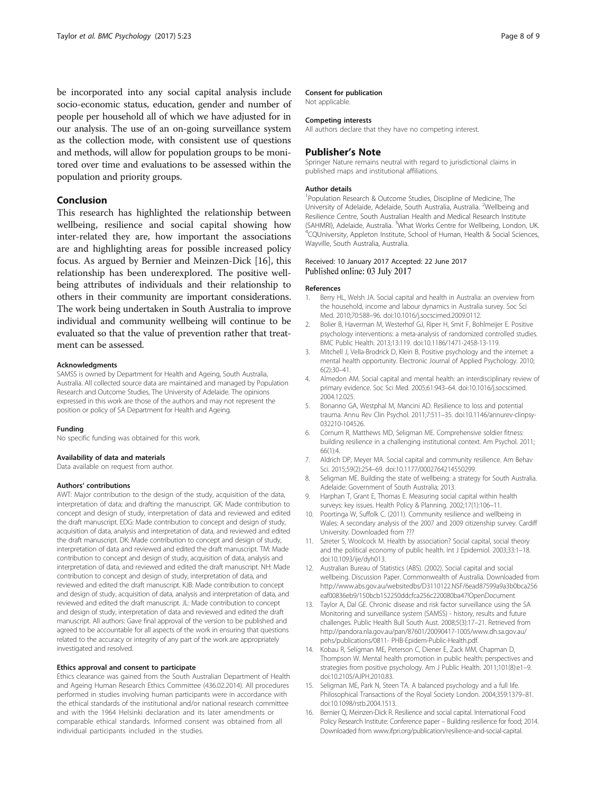<span id="page-7-0"></span>be incorporated into any social capital analysis include socio-economic status, education, gender and number of people per household all of which we have adjusted for in our analysis. The use of an on-going surveillance system as the collection mode, with consistent use of questions and methods, will allow for population groups to be monitored over time and evaluations to be assessed within the population and priority groups.

### Conclusion

This research has highlighted the relationship between wellbeing, resilience and social capital showing how inter-related they are, how important the associations are and highlighting areas for possible increased policy focus. As argued by Bernier and Meinzen-Dick [16], this relationship has been underexplored. The positive wellbeing attributes of individuals and their relationship to others in their community are important considerations. The work being undertaken in South Australia to improve individual and community wellbeing will continue to be evaluated so that the value of prevention rather that treatment can be assessed.

#### Acknowledgments

SAMSS is owned by Department for Health and Ageing, South Australia, Australia. All collected source data are maintained and managed by Population Research and Outcome Studies, The University of Adelaide. The opinions expressed in this work are those of the authors and may not represent the position or policy of SA Department for Health and Ageing.

#### Funding

No specific funding was obtained for this work.

#### Availability of data and materials

Data available on request from author.

#### Authors' contributions

AWT: Major contribution to the design of the study, acquisition of the data, interpretation of data; and drafting the manuscript. GK: Made contribution to concept and design of study, interpretation of data and reviewed and edited the draft manuscript. EDG: Made contribution to concept and design of study, acquisition of data, analysis and interpretation of data, and reviewed and edited the draft manuscript. DK: Made contribution to concept and design of study, interpretation of data and reviewed and edited the draft manuscript. TM: Made contribution to concept and design of study, acquisition of data, analysis and interpretation of data, and reviewed and edited the draft manuscript. NH: Made contribution to concept and design of study, interpretation of data, and reviewed and edited the draft manuscript. KJB: Made contribution to concept and design of study, acquisition of data, analysis and interpretation of data, and reviewed and edited the draft manuscript. JL: Made contribution to concept and design of study, interpretation of data and reviewed and edited the draft manuscript. All authors: Gave final approval of the version to be published and agreed to be accountable for all aspects of the work in ensuring that questions related to the accuracy or integrity of any part of the work are appropriately investigated and resolved.

#### Ethics approval and consent to participate

Ethics clearance was gained from the South Australian Department of Health and Ageing Human Research Ethics Committee (436.02.2014). All procedures performed in studies involving human participants were in accordance with the ethical standards of the institutional and/or national research committee and with the 1964 Helsinki declaration and its later amendments or comparable ethical standards. Informed consent was obtained from all individual participants included in the studies.

#### Consent for publication

Not applicable.

#### Competing interests

All authors declare that they have no competing interest.

#### Publisher's Note

Springer Nature remains neutral with regard to jurisdictional claims in published maps and institutional affiliations.

#### Author details

<sup>1</sup> Population Research & Outcome Studies, Discipline of Medicine, The University of Adelaide, Adelaide, South Australia, Australia. <sup>2</sup>Wellbeing and Resilience Centre, South Australian Health and Medical Research Institute (SAHMRI), Adelaide, Australia. <sup>3</sup>What Works Centre for Wellbeing, London, UK.<br><sup>4</sup>COLlpiversity, Appleton Institute, School of Human, Health & Social Sciences <sup>4</sup>CQUniversity, Appleton Institute, School of Human, Health & Social Sciences, Wayville, South Australia, Australia.

#### Received: 10 January 2017 Accepted: 22 June 2017 Published online: 03 July 2017

#### References

- 1. Berry HL, Welsh JA. Social capital and health in Australia: an overview from the household, income and labour dynamics in Australia survey. Soc Sci Med. 2010;70:588–96. doi:[10.1016/j.socscimed.2009.0112](http://dx.doi.org/10.1016/j.socscimed.2009.0112).
- 2. Bolier B, Haverman M, Westerhof GJ, Riper H, Smit F, Bohlmeijer E. Positive psychology interventions: a meta-analysis of randomized controlled studies. BMC Public Health. 2013;13:119. doi:[10.1186/1471-2458-13-119](http://dx.doi.org/10.1186/1471-2458-13-119).
- 3. Mitchell J, Vella-Brodrick D, Klein B. Positive psychology and the internet: a mental health opportunity. Electronic Journal of Applied Psychology. 2010; 6(2):30–41.
- 4. Almedon AM. Social capital and mental health: an interdisciplinary review of primary evidence. Soc Sci Med. 2005;61:943–64. doi:[10.1016/j.socscimed.](http://dx.doi.org/10.1016/j.socscimed.2004.12.025) [2004.12.025.](http://dx.doi.org/10.1016/j.socscimed.2004.12.025)
- 5. Bonanno GA, Westphal M, Mancini AD. Resilience to loss and potential trauma. Annu Rev Clin Psychol. 2011;7:511–35. doi[:10.1146/annurev-clinpsy-](http://dx.doi.org/10.1146/annurev-clinpsy-032210-104526)[032210-104526.](http://dx.doi.org/10.1146/annurev-clinpsy-032210-104526)
- 6. Cornum R, Matthews MD, Seligman ME. Comprehensive soldier fitness: building resilience in a challenging institutional context. Am Psychol. 2011; 66(1):4.
- 7. Aldrich DP, Meyer MA. Social capital and community resilience. Am Behav Sci. 2015;59(2):254–69. doi[:10.1177/0002764214550299.](http://dx.doi.org/10.1177/0002764214550299)
- 8. Seligman ME. Building the state of wellbeing: a strategy for South Australia. Adelaide: Government of South Australia; 2013.
- 9. Harphan T, Grant E, Thomas E. Measuring social capital within health surveys: key issues. Health Policy & Planning. 2002;17(1):106–11.
- 10. Poortinga W, Suffolk C. (2011). Community resilience and wellbeing in Wales: A secondary analysis of the 2007 and 2009 citizenship survey. Cardiff University. Downloaded from ???
- 11. Szreter S, Woolcock M. Health by association? Social capital, social theory and the political economy of public health. Int J Epidemiol. 2003;33:1–18. doi[:10.1093/ije/dyh013.](http://dx.doi.org/10.1093/ije/dyh013)
- 12. Australian Bureau of Statistics (ABS). (2002). Social capital and social wellbeing. Discussion Paper. Commonwealth of Australia. Downloaded from [http://www.abs.gov.au/websitedbs/D3110122.NSF/6ead87599a9a3b0bca256](http://www.abs.gov.au/websitedbs/D3110122.NSF/6ead87599a9a3b0bca256eaf00836eb9/150bcb152250ddcfca256c220080ba47!OpenDocument) [eaf00836eb9/150bcb152250ddcfca256c220080ba47!OpenDocument](http://www.abs.gov.au/websitedbs/D3110122.NSF/6ead87599a9a3b0bca256eaf00836eb9/150bcb152250ddcfca256c220080ba47!OpenDocument)
- 13. Taylor A, Dal GE. Chronic disease and risk factor surveillance using the SA Monitoring and surveillance system (SAMSS) - history, results and future challenges. Public Health Bull South Aust. 2008;5(3):17–21. Retrieved from [http://pandora.nla.gov.au/pan/87601/20090417-1005/www.dh.sa.gov.au/](http://pandora.nla.gov.au/pan/87601/20090417-1005/www.dh.sa.gov.au/pehs/publications/0811-%20PHB-Epidem-Public-Health.pdf) [pehs/publications/0811- PHB-Epidem-Public-Health.pdf.](http://pandora.nla.gov.au/pan/87601/20090417-1005/www.dh.sa.gov.au/pehs/publications/0811-%20PHB-Epidem-Public-Health.pdf)
- 14. Kobau R, Seligman ME, Peterson C, Diener E, Zack MM, Chapman D, Thompson W. Mental health promotion in public health: perspectives and strategies from positive psychology. Am J Public Health. 2011;101(8):e1–9. doi[:10.2105/AJPH.2010.83.](http://dx.doi.org/10.2105/AJPH.2010.83)
- 15. Seligman ME, Park N, Steen TA. A balanced psychology and a full life. Philosophical Transactions of the Royal Society London. 2004;359:1379–81. doi[:10.1098/rstb.2004.1513.](http://dx.doi.org/10.1098/rstb.2004.1513)
- 16. Bernier Q, Meinzen-Dick R. Resilience and social capital. International Food Policy Research Institute: Conference paper – Building resilience for food; 2014. Downloaded from [www.ifpri.org/publication/resilience-and-social-capital](http://www.ifpri.org/publication/resilience-and-social-capital).